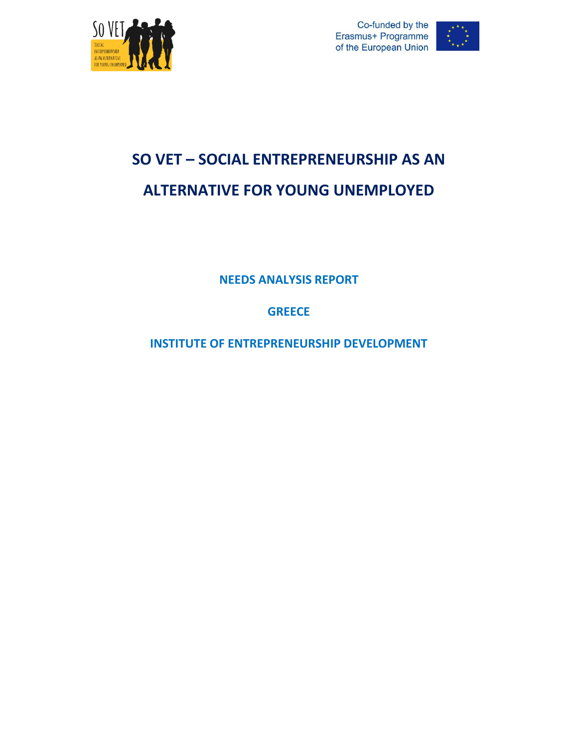





# **SO VET – SOCIAL ENTREPRENEURSHIP AS AN ALTERNATIVE FOR YOUNG UNEMPLOYED**

**NEEDS ANALYSIS REPORT**

**GREECE**

**INSTITUTE OF ENTREPRENEURSHIP DEVELOPMENT**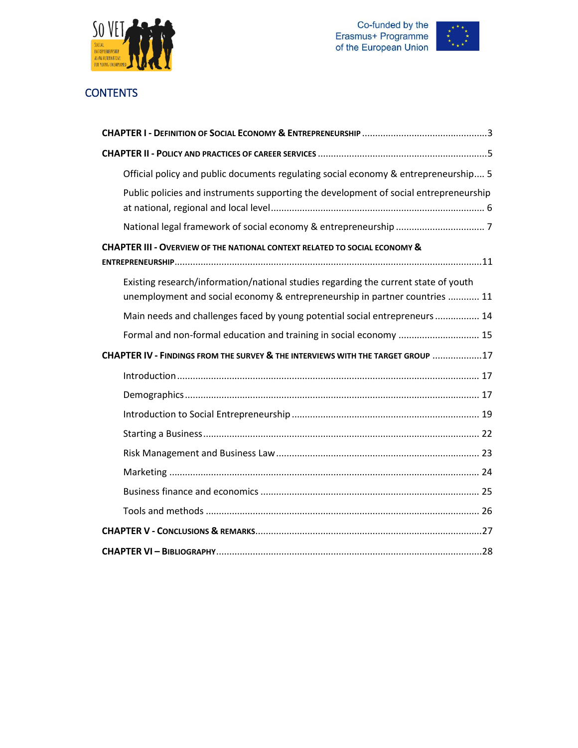





# **CONTENTS**

| Official policy and public documents regulating social economy & entrepreneurship 5                                                                                |
|--------------------------------------------------------------------------------------------------------------------------------------------------------------------|
| Public policies and instruments supporting the development of social entrepreneurship                                                                              |
|                                                                                                                                                                    |
| <b>CHAPTER III - OVERVIEW OF THE NATIONAL CONTEXT RELATED TO SOCIAL ECONOMY &amp;</b>                                                                              |
|                                                                                                                                                                    |
| Existing research/information/national studies regarding the current state of youth<br>unemployment and social economy & entrepreneurship in partner countries  11 |
| Main needs and challenges faced by young potential social entrepreneurs 14                                                                                         |
| Formal and non-formal education and training in social economy  15                                                                                                 |
| CHAPTER IV - FINDINGS FROM THE SURVEY & THE INTERVIEWS WITH THE TARGET GROUP 17                                                                                    |
|                                                                                                                                                                    |
|                                                                                                                                                                    |
|                                                                                                                                                                    |
|                                                                                                                                                                    |
|                                                                                                                                                                    |
|                                                                                                                                                                    |
|                                                                                                                                                                    |
|                                                                                                                                                                    |
|                                                                                                                                                                    |
|                                                                                                                                                                    |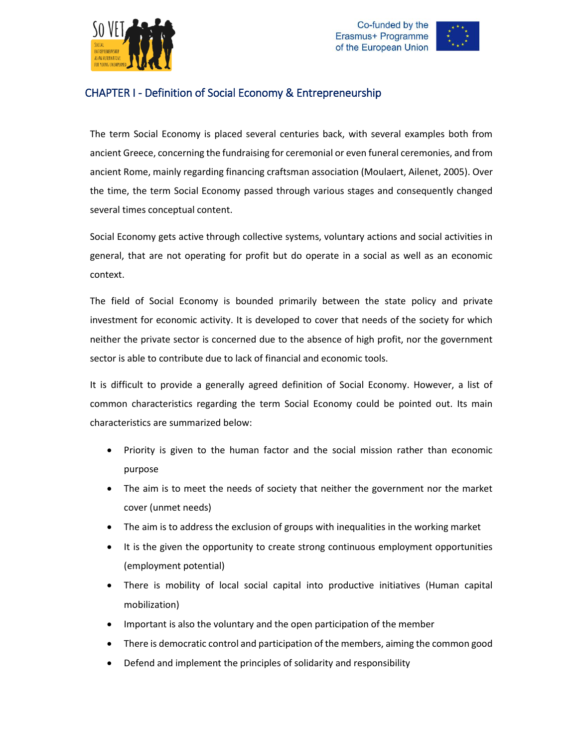





# <span id="page-2-0"></span>CHAPTER I - Definition of Social Economy & Entrepreneurship

The term Social Economy is placed several centuries back, with several examples both from ancient Greece, concerning the fundraising for ceremonial or even funeral ceremonies, and from ancient Rome, mainly regarding financing craftsman association (Moulaert, Ailenet, 2005). Over the time, the term Social Economy passed through various stages and consequently changed several times conceptual content.

Social Economy gets active through collective systems, voluntary actions and social activities in general, that are not operating for profit but do operate in a social as well as an economic context.

The field of Social Economy is bounded primarily between the state policy and private investment for economic activity. It is developed to cover that needs of the society for which neither the private sector is concerned due to the absence of high profit, nor the government sector is able to contribute due to lack of financial and economic tools.

It is difficult to provide a generally agreed definition of Social Economy. However, a list of common characteristics regarding the term Social Economy could be pointed out. Its main characteristics are summarized below:

- Priority is given to the human factor and the social mission rather than economic purpose
- The aim is to meet the needs of society that neither the government nor the market cover (unmet needs)
- The aim is to address the exclusion of groups with inequalities in the working market
- It is the given the opportunity to create strong continuous employment opportunities (employment potential)
- There is mobility of local social capital into productive initiatives (Human capital mobilization)
- Important is also the voluntary and the open participation of the member
- There is democratic control and participation of the members, aiming the common good
- Defend and implement the principles of solidarity and responsibility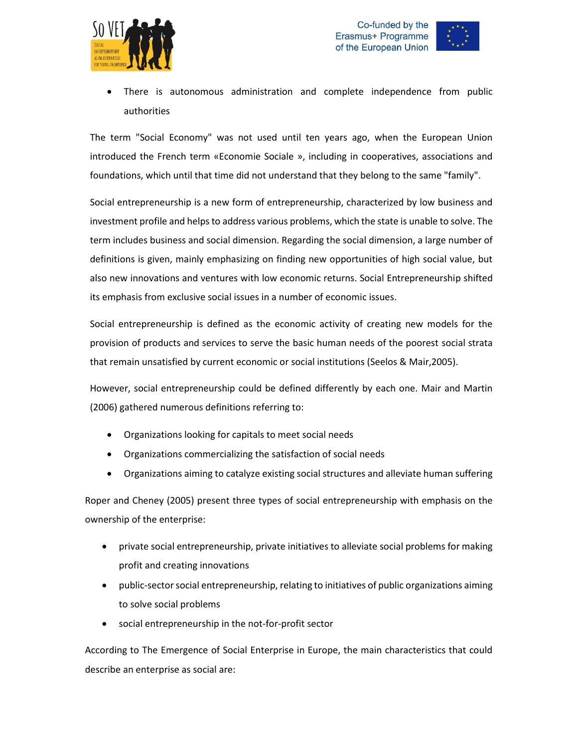





 There is autonomous administration and complete independence from public authorities

The term "Social Economy" was not used until ten years ago, when the European Union introduced the French term «Economie Sociale », including in cooperatives, associations and foundations, which until that time did not understand that they belong to the same "family".

Social entrepreneurship is a new form of entrepreneurship, characterized by low business and investment profile and helps to address various problems, which the state is unable to solve. The term includes business and social dimension. Regarding the social dimension, a large number of definitions is given, mainly emphasizing on finding new opportunities of high social value, but also new innovations and ventures with low economic returns. Social Entrepreneurship shifted its emphasis from exclusive social issues in a number of economic issues.

Social entrepreneurship is defined as the economic activity of creating new models for the provision of products and services to serve the basic human needs of the poorest social strata that remain unsatisfied by current economic or social institutions (Seelos & Mair,2005).

However, social entrepreneurship could be defined differently by each one. Mair and Martin (2006) gathered numerous definitions referring to:

- Organizations looking for capitals to meet social needs
- Organizations commercializing the satisfaction of social needs
- Organizations aiming to catalyze existing social structures and alleviate human suffering

Roper and Cheney (2005) present three types of social entrepreneurship with emphasis on the ownership of the enterprise:

- private social entrepreneurship, private initiatives to alleviate social problems for making profit and creating innovations
- public-sector social entrepreneurship, relating to initiatives of public organizations aiming to solve social problems
- social entrepreneurship in the not-for-profit sector

According to The Emergence of Social Enterprise in Europe, the main characteristics that could describe an enterprise as social are: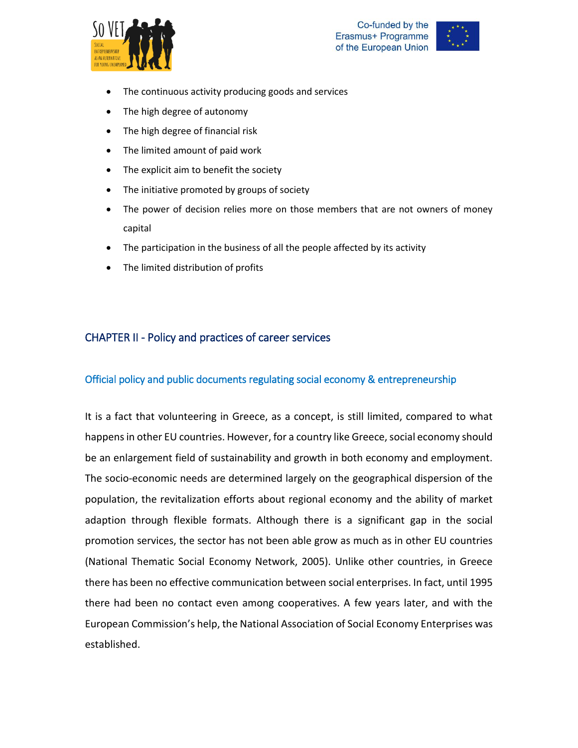



- The continuous activity producing goods and services
- The high degree of autonomy
- The high degree of financial risk
- The limited amount of paid work
- The explicit aim to benefit the society
- The initiative promoted by groups of society
- The power of decision relies more on those members that are not owners of money capital
- The participation in the business of all the people affected by its activity
- The limited distribution of profits

# <span id="page-4-0"></span>CHAPTER II - Policy and practices of career services

#### <span id="page-4-1"></span>Official policy and public documents regulating social economy & entrepreneurship

It is a fact that volunteering in Greece, as a concept, is still limited, compared to what happens in other EU countries. However, for a country like Greece, social economy should be an enlargement field of sustainability and growth in both economy and employment. The socio-economic needs are determined largely on the geographical dispersion of the population, the revitalization efforts about regional economy and the ability of market adaption through flexible formats. Although there is a significant gap in the social promotion services, the sector has not been able grow as much as in other EU countries (National Thematic Social Economy Network, 2005). Unlike other countries, in Greece there has been no effective communication between social enterprises. In fact, until 1995 there had been no contact even among cooperatives. A few years later, and with the European Commission's help, the National Association of Social Economy Enterprises was established.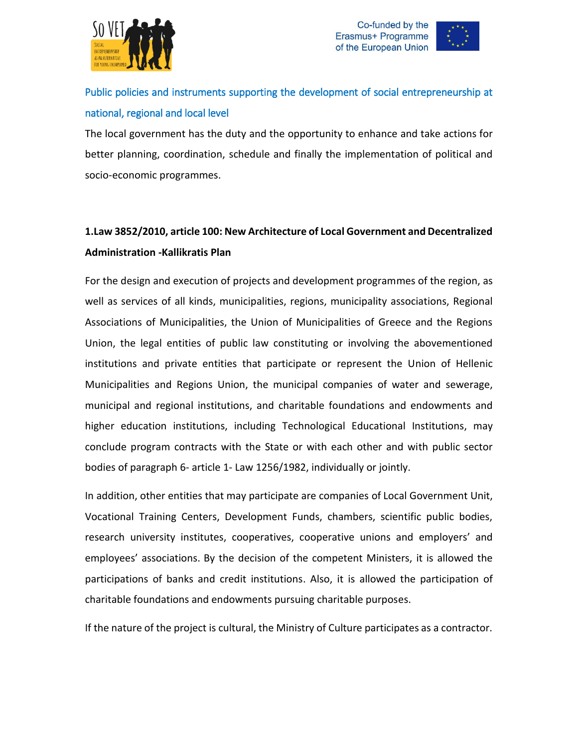





# <span id="page-5-0"></span>Public policies and instruments supporting the development of social entrepreneurship at national, regional and local level

The local government has the duty and the opportunity to enhance and take actions for better planning, coordination, schedule and finally the implementation of political and socio-economic programmes.

# **1.Law 3852/2010, article 100: New Architecture of Local Government and Decentralized Administration -Kallikratis Plan**

For the design and execution of projects and development programmes of the region, as well as services of all kinds, municipalities, regions, municipality associations, Regional Associations of Municipalities, the Union of Municipalities of Greece and the Regions Union, the legal entities of public law constituting or involving the abovementioned institutions and private entities that participate or represent the Union of Hellenic Municipalities and Regions Union, the municipal companies of water and sewerage, municipal and regional institutions, and charitable foundations and endowments and higher education institutions, including Technological Educational Institutions, may conclude program contracts with the State or with each other and with public sector bodies of paragraph 6- article 1- Law 1256/1982, individually or jointly.

In addition, other entities that may participate are companies of Local Government Unit, Vocational Training Centers, Development Funds, chambers, scientific public bodies, research university institutes, cooperatives, cooperative unions and employers' and employees' associations. By the decision of the competent Ministers, it is allowed the participations of banks and credit institutions. Also, it is allowed the participation of charitable foundations and endowments pursuing charitable purposes.

If the nature of the project is cultural, the Ministry of Culture participates as a contractor.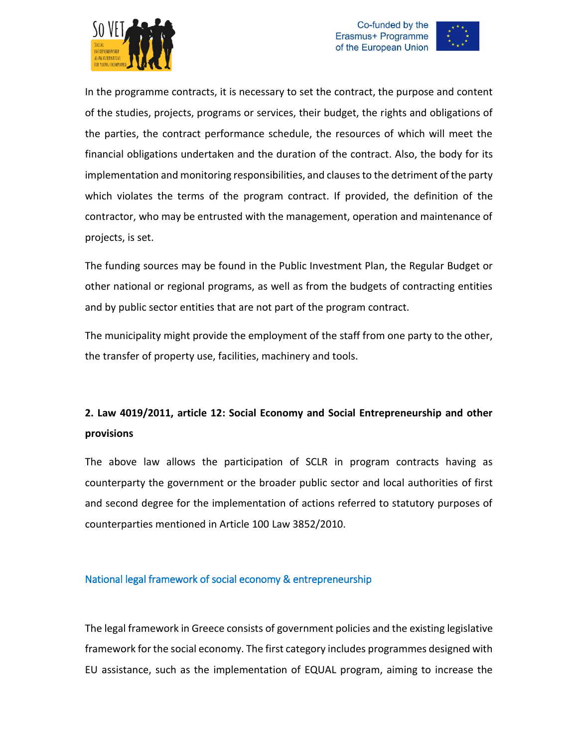





In the programme contracts, it is necessary to set the contract, the purpose and content of the studies, projects, programs or services, their budget, the rights and obligations of the parties, the contract performance schedule, the resources of which will meet the financial obligations undertaken and the duration of the contract. Also, the body for its implementation and monitoring responsibilities, and clauses to the detriment of the party which violates the terms of the program contract. If provided, the definition of the contractor, who may be entrusted with the management, operation and maintenance of projects, is set.

The funding sources may be found in the Public Investment Plan, the Regular Budget or other national or regional programs, as well as from the budgets of contracting entities and by public sector entities that are not part of the program contract.

The municipality might provide the employment of the staff from one party to the other, the transfer of property use, facilities, machinery and tools.

# **2. Law 4019/2011, article 12: Social Economy and Social Entrepreneurship and other provisions**

The above law allows the participation of SCLR in program contracts having as counterparty the government or the broader public sector and local authorities of first and second degree for the implementation of actions referred to statutory purposes of counterparties mentioned in Article 100 Law 3852/2010.

### <span id="page-6-0"></span>National legal framework of social economy & entrepreneurship

The legal framework in Greece consists of government policies and the existing legislative framework for the social economy. The first category includes programmes designed with EU assistance, such as the implementation of EQUAL program, aiming to increase the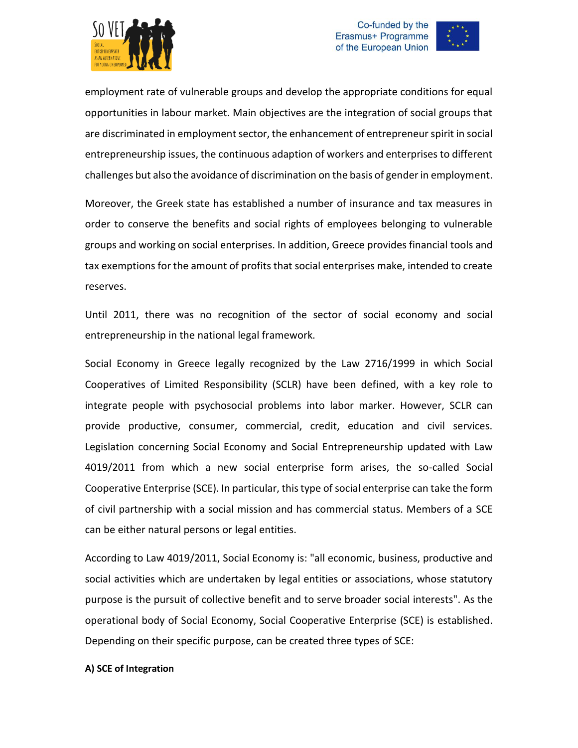





employment rate of vulnerable groups and develop the appropriate conditions for equal opportunities in labour market. Main objectives are the integration of social groups that are discriminated in employment sector, the enhancement of entrepreneur spirit in social entrepreneurship issues, the continuous adaption of workers and enterprises to different challenges but also the avoidance of discrimination on the basis of gender in employment.

Moreover, the Greek state has established a number of insurance and tax measures in order to conserve the benefits and social rights of employees belonging to vulnerable groups and working on social enterprises. In addition, Greece provides financial tools and tax exemptions for the amount of profits that social enterprises make, intended to create reserves.

Until 2011, there was no recognition of the sector of social economy and social entrepreneurship in the national legal framework.

Social Economy in Greece legally recognized by the Law 2716/1999 in which Social Cooperatives of Limited Responsibility (SCLR) have been defined, with a key role to integrate people with psychosocial problems into labor marker. However, SCLR can provide productive, consumer, commercial, credit, education and civil services. Legislation concerning Social Economy and Social Entrepreneurship updated with Law 4019/2011 from which a new social enterprise form arises, the so-called Social Cooperative Enterprise (SCE). In particular, this type of social enterprise can take the form of civil partnership with a social mission and has commercial status. Members of a SCE can be either natural persons or legal entities.

According to Law 4019/2011, Social Economy is: "all economic, business, productive and social activities which are undertaken by legal entities or associations, whose statutory purpose is the pursuit of collective benefit and to serve broader social interests". As the operational body of Social Economy, Social Cooperative Enterprise (SCE) is established. Depending on their specific purpose, can be created three types of SCE:

#### **A) SCE of Integration**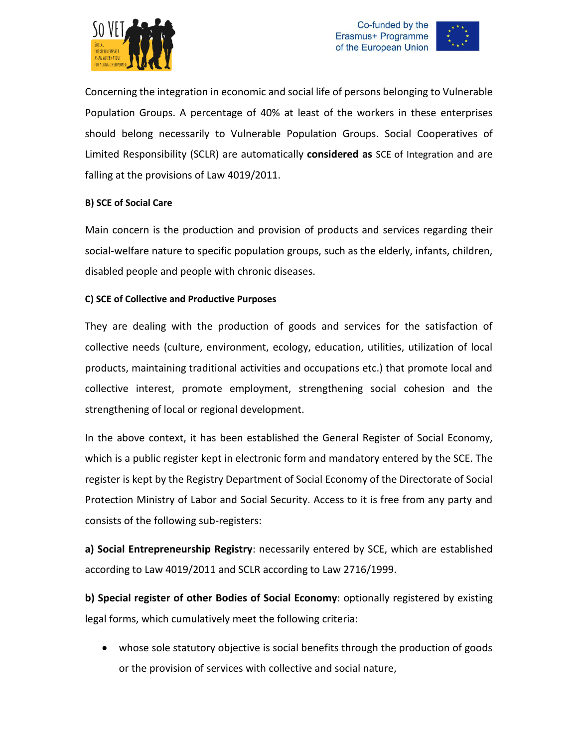





Concerning the integration in economic and social life of persons belonging to Vulnerable Population Groups. A percentage of 40% at least of the workers in these enterprises should belong necessarily to Vulnerable Population Groups. Social Cooperatives of Limited Responsibility (SCLR) are automatically **considered as** SCE of Integration and are falling at the provisions of Law 4019/2011.

#### **B) SCE of Social Care**

Main concern is the production and provision of products and services regarding their social-welfare nature to specific population groups, such as the elderly, infants, children, disabled people and people with chronic diseases.

#### **C) SCE of Collective and Productive Purposes**

They are dealing with the production of goods and services for the satisfaction of collective needs (culture, environment, ecology, education, utilities, utilization of local products, maintaining traditional activities and occupations etc.) that promote local and collective interest, promote employment, strengthening social cohesion and the strengthening of local or regional development.

In the above context, it has been established the General Register of Social Economy, which is a public register kept in electronic form and mandatory entered by the SCE. The register is kept by the Registry Department of Social Economy of the Directorate of Social Protection Ministry of Labor and Social Security. Access to it is free from any party and consists of the following sub-registers:

**a) Social Entrepreneurship Registry**: necessarily entered by SCE, which are established according to Law 4019/2011 and SCLR according to Law 2716/1999.

**b) Special register of other Bodies of Social Economy**: optionally registered by existing legal forms, which cumulatively meet the following criteria:

 whose sole statutory objective is social benefits through the production of goods or the provision of services with collective and social nature,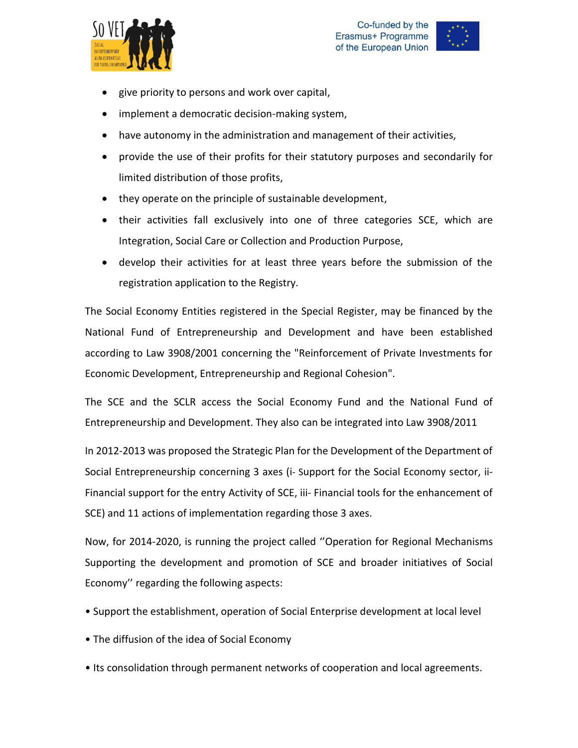





- give priority to persons and work over capital,
- implement a democratic decision-making system,
- have autonomy in the administration and management of their activities,
- provide the use of their profits for their statutory purposes and secondarily for limited distribution of those profits,
- they operate on the principle of sustainable development,
- their activities fall exclusively into one of three categories SCE, which are Integration, Social Care or Collection and Production Purpose,
- develop their activities for at least three years before the submission of the registration application to the Registry.

The Social Economy Entities registered in the Special Register, may be financed by the National Fund of Entrepreneurship and Development and have been established according to Law 3908/2001 concerning the "Reinforcement of Private Investments for Economic Development, Entrepreneurship and Regional Cohesion".

The SCE and the SCLR access the Social Economy Fund and the National Fund of Entrepreneurship and Development. They also can be integrated into Law 3908/2011

In 2012-2013 was proposed the Strategic Plan for the Development of the Department of Social Entrepreneurship concerning 3 axes (i- Support for the Social Economy sector, ii-Financial support for the entry Activity of SCE, iii- Financial tools for the enhancement of SCE) and 11 actions of implementation regarding those 3 axes.

Now, for 2014-2020, is running the project called ''Operation for Regional Mechanisms Supporting the development and promotion of SCE and broader initiatives of Social Economy'' regarding the following aspects:

- Support the establishment, operation of Social Enterprise development at local level
- The diffusion of the idea of Social Economy
- Its consolidation through permanent networks of cooperation and local agreements.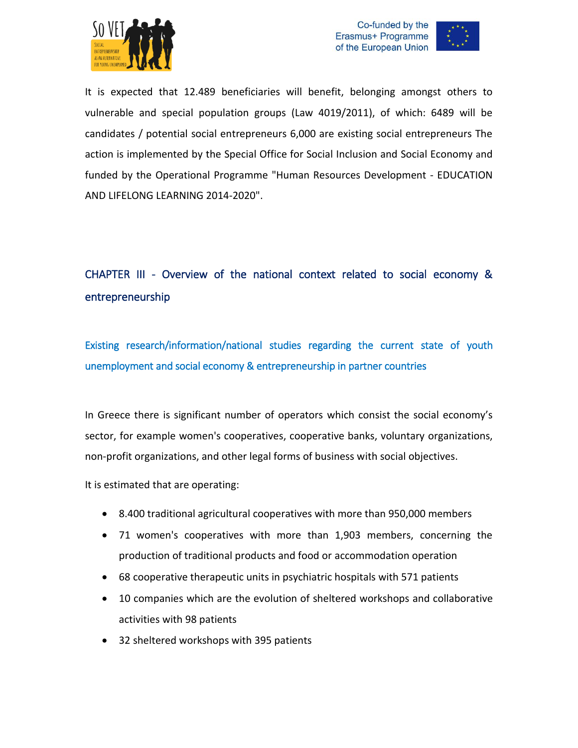





It is expected that 12.489 beneficiaries will benefit, belonging amongst others to vulnerable and special population groups (Law 4019/2011), of which: 6489 will be candidates / potential social entrepreneurs 6,000 are existing social entrepreneurs The action is implemented by the Special Office for Social Inclusion and Social Economy and funded by the Operational Programme "Human Resources Development - EDUCATION AND LIFELONG LEARNING 2014-2020".

# <span id="page-10-0"></span>CHAPTER III - Overview of the national context related to social economy & entrepreneurship

<span id="page-10-1"></span>Existing research/information/national studies regarding the current state of youth unemployment and social economy & entrepreneurship in partner countries

In Greece there is significant number of operators which consist the social economy's sector, for example women's cooperatives, cooperative banks, voluntary organizations, non-profit organizations, and other legal forms of business with social objectives.

It is estimated that are operating:

- 8.400 traditional agricultural cooperatives with more than 950,000 members
- 71 women's cooperatives with more than 1,903 members, concerning the production of traditional products and food or accommodation operation
- 68 cooperative therapeutic units in psychiatric hospitals with 571 patients
- 10 companies which are the evolution of sheltered workshops and collaborative activities with 98 patients
- 32 sheltered workshops with 395 patients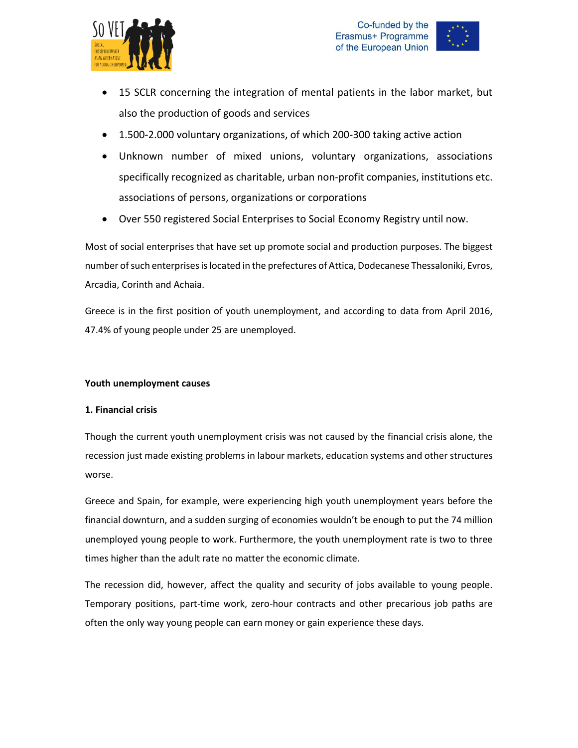



- 15 SCLR concerning the integration of mental patients in the labor market, but also the production of goods and services
- 1.500-2.000 voluntary organizations, of which 200-300 taking active action
- Unknown number of mixed unions, voluntary organizations, associations specifically recognized as charitable, urban non-profit companies, institutions etc. associations of persons, organizations or corporations
- Over 550 registered Social Enterprises to Social Economy Registry until now.

Most of social enterprises that have set up promote social and production purposes. The biggest number of such enterprises is located in the prefectures of Attica, Dodecanese Thessaloniki, Evros, Arcadia, Corinth and Achaia.

Greece is in the first position of youth unemployment, and according to data from April 2016, 47.4% of young people under 25 are unemployed.

#### **Youth unemployment causes**

#### **1. Financial crisis**

Though the current youth unemployment crisis was not caused by the financial crisis alone, the recession just made existing problems in labour markets, education systems and other structures worse.

Greece and Spain, for example, were experiencing high youth unemployment years before the financial downturn, and a sudden surging of economies wouldn't be enough to put the 74 million unemployed young people to work. Furthermore, the youth unemployment rate is two to three times higher than the adult rate no matter the economic climate.

The recession did, however, affect the quality and security of jobs available to young people. Temporary positions, part-time work, zero-hour contracts and other precarious job paths are often the only way young people can earn money or gain experience these days.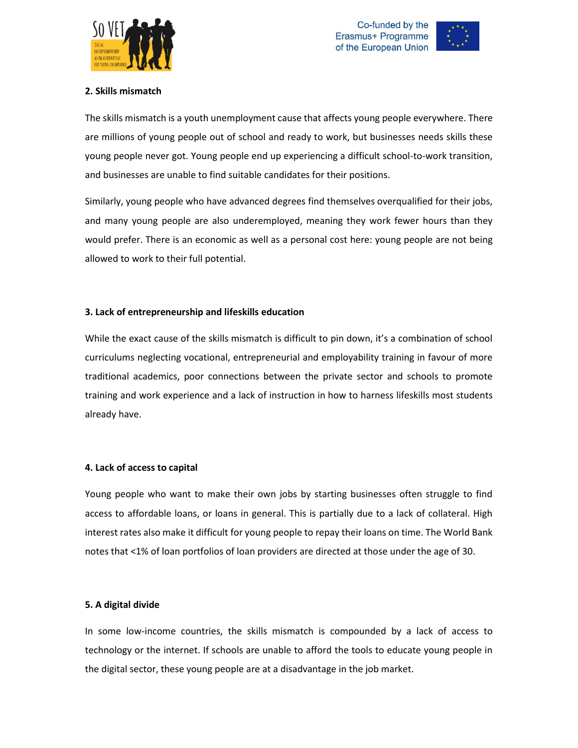



#### **2. Skills mismatch**

The skills mismatch is a youth unemployment cause that affects young people everywhere. There are millions of young people out of school and ready to work, but businesses needs skills these young people never got. Young people end up experiencing a difficult school-to-work transition, and businesses are unable to find suitable candidates for their positions.

Similarly, young people who have advanced degrees find themselves overqualified for their jobs, and many young people are also underemployed, meaning they work fewer hours than they would prefer. There is an economic as well as a personal cost here: young people are not being allowed to work to their full potential.

#### **3. Lack of entrepreneurship and lifeskills education**

While the exact cause of the skills mismatch is difficult to pin down, it's a combination of school curriculums neglecting vocational, entrepreneurial and employability training in favour of more traditional academics, poor connections between the private sector and schools to promote training and work experience and a lack of instruction in how to harness lifeskills most students already have.

#### **4. Lack of access to capital**

Young people who want to make their own jobs by starting businesses often struggle to find access to affordable loans, or loans in general. This is partially due to a lack of collateral. High interest rates also make it difficult for young people to repay their loans on time. The World Bank notes that <1% of loan portfolios of loan providers are directed at those under the age of 30.

#### **5. A digital divide**

In some low-income countries, the skills mismatch is compounded by a lack of access to technology or the internet. If schools are unable to afford the tools to educate young people in the digital sector, these young people are at a disadvantage in the job market.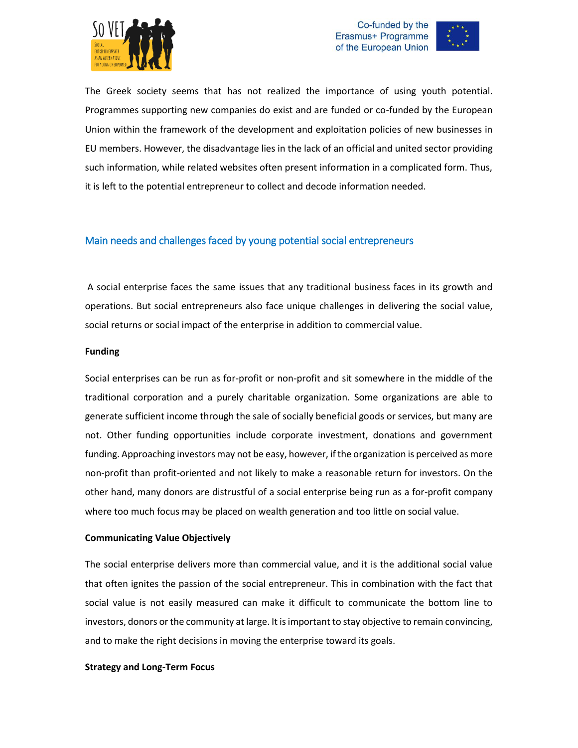





The Greek society seems that has not realized the importance of using youth potential. Programmes supporting new companies do exist and are funded or co-funded by the European Union within the framework of the development and exploitation policies of new businesses in EU members. However, the disadvantage lies in the lack of an official and united sector providing such information, while related websites often present information in a complicated form. Thus, it is left to the potential entrepreneur to collect and decode information needed.

#### <span id="page-13-0"></span>Main needs and challenges faced by young potential social entrepreneurs

A social enterprise faces the same issues that any traditional business faces in its growth and operations. But social entrepreneurs also face unique challenges in delivering the social value, social returns or social impact of the enterprise in addition to commercial value.

#### **Funding**

Social enterprises can be run as for-profit or non-profit and sit somewhere in the middle of the traditional corporation and a purely charitable organization. Some organizations are able to generate sufficient income through the sale of socially beneficial goods or services, but many are not. Other funding opportunities include corporate investment, donations and government funding. Approaching investors may not be easy, however, if the organization is perceived as more non-profit than profit-oriented and not likely to make a reasonable return for investors. On the other hand, many donors are distrustful of a social enterprise being run as a for-profit company where too much focus may be placed on wealth generation and too little on social value.

#### **Communicating Value Objectively**

The social enterprise delivers more than commercial value, and it is the additional social value that often ignites the passion of the social entrepreneur. This in combination with the fact that social value is not easily measured can make it difficult to communicate the bottom line to investors, donors or the community at large. It is important to stay objective to remain convincing, and to make the right decisions in moving the enterprise toward its goals.

#### **Strategy and Long-Term Focus**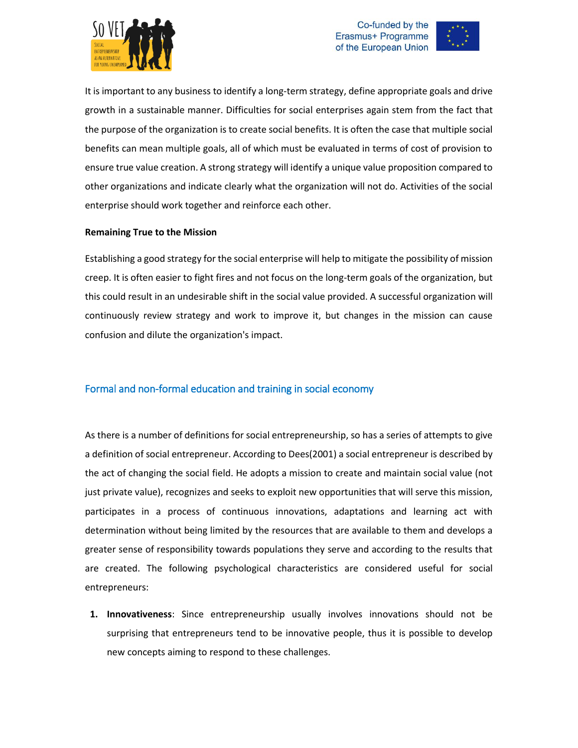





It is important to any business to identify a long-term strategy, define appropriate goals and drive growth in a sustainable manner. Difficulties for social enterprises again stem from the fact that the purpose of the organization is to create social benefits. It is often the case that multiple social benefits can mean multiple goals, all of which must be evaluated in terms of cost of provision to ensure true value creation. A strong strategy will identify a unique value proposition compared to other organizations and indicate clearly what the organization will not do. Activities of the social enterprise should work together and reinforce each other.

#### **Remaining True to the Mission**

Establishing a good strategy for the social enterprise will help to mitigate the possibility of mission creep. It is often easier to fight fires and not focus on the long-term goals of the organization, but this could result in an undesirable shift in the social value provided. A successful organization will continuously review strategy and work to improve it, but changes in the mission can cause confusion and dilute the organization's impact.

#### <span id="page-14-0"></span>Formal and non-formal education and training in social economy

As there is a number of definitions for social entrepreneurship, so has a series of attempts to give a definition of social entrepreneur. According to Dees(2001) a social entrepreneur is described by the act of changing the social field. He adopts a mission to create and maintain social value (not just private value), recognizes and seeks to exploit new opportunities that will serve this mission, participates in a process of continuous innovations, adaptations and learning act with determination without being limited by the resources that are available to them and develops a greater sense of responsibility towards populations they serve and according to the results that are created. The following psychological characteristics are considered useful for social entrepreneurs:

**1. Innovativeness**: Since entrepreneurship usually involves innovations should not be surprising that entrepreneurs tend to be innovative people, thus it is possible to develop new concepts aiming to respond to these challenges.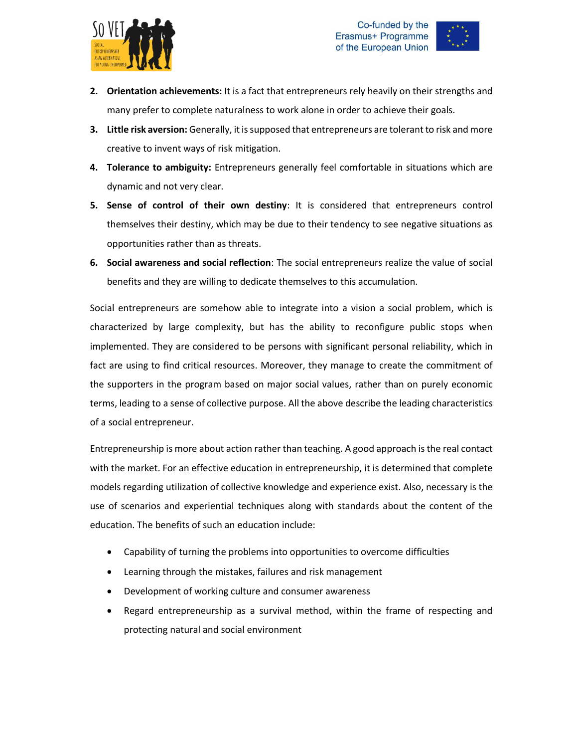



- **2. Orientation achievements:** It is a fact that entrepreneurs rely heavily on their strengths and many prefer to complete naturalness to work alone in order to achieve their goals.
- **3. Little risk aversion:** Generally, it is supposed that entrepreneurs are tolerant to risk and more creative to invent ways of risk mitigation.
- **4. Tolerance to ambiguity:** Entrepreneurs generally feel comfortable in situations which are dynamic and not very clear.
- **5. Sense of control of their own destiny**: It is considered that entrepreneurs control themselves their destiny, which may be due to their tendency to see negative situations as opportunities rather than as threats.
- **6. Social awareness and social reflection**: The social entrepreneurs realize the value of social benefits and they are willing to dedicate themselves to this accumulation.

Social entrepreneurs are somehow able to integrate into a vision a social problem, which is characterized by large complexity, but has the ability to reconfigure public stops when implemented. They are considered to be persons with significant personal reliability, which in fact are using to find critical resources. Moreover, they manage to create the commitment of the supporters in the program based on major social values, rather than on purely economic terms, leading to a sense of collective purpose. All the above describe the leading characteristics of a social entrepreneur.

Entrepreneurship is more about action rather than teaching. A good approach is the real contact with the market. For an effective education in entrepreneurship, it is determined that complete models regarding utilization of collective knowledge and experience exist. Also, necessary is the use of scenarios and experiential techniques along with standards about the content of the education. The benefits of such an education include:

- Capability of turning the problems into opportunities to overcome difficulties
- Learning through the mistakes, failures and risk management
- Development of working culture and consumer awareness
- Regard entrepreneurship as a survival method, within the frame of respecting and protecting natural and social environment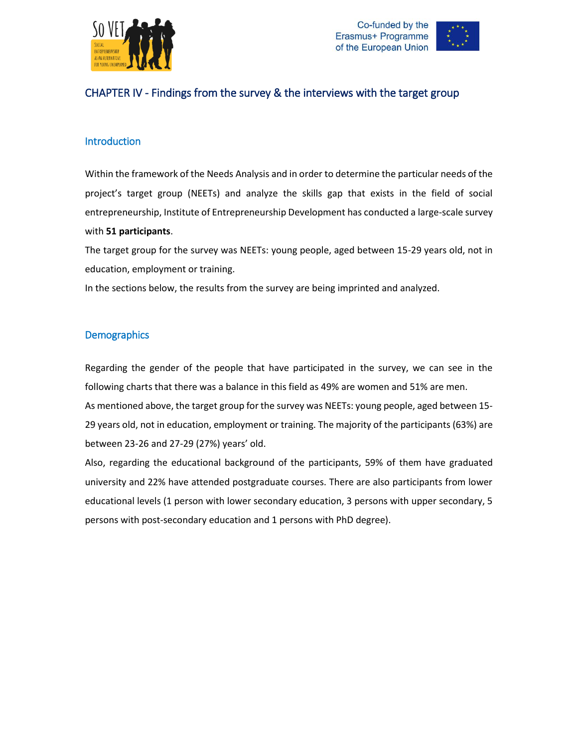



### <span id="page-16-0"></span>CHAPTER IV - Findings from the survey & the interviews with the target group

#### <span id="page-16-1"></span>**Introduction**

Within the framework of the Needs Analysis and in order to determine the particular needs of the project's target group (NEETs) and analyze the skills gap that exists in the field of social entrepreneurship, Institute of Entrepreneurship Development has conducted a large-scale survey with **51 participants**.

The target group for the survey was NEETs: young people, aged between 15-29 years old, not in education, employment or training.

In the sections below, the results from the survey are being imprinted and analyzed.

#### <span id="page-16-2"></span>**Demographics**

Regarding the gender of the people that have participated in the survey, we can see in the following charts that there was a balance in this field as 49% are women and 51% are men.

As mentioned above, the target group for the survey was NEETs: young people, aged between 15- 29 years old, not in education, employment or training. The majority of the participants (63%) are between 23-26 and 27-29 (27%) years' old.

Also, regarding the educational background of the participants, 59% of them have graduated university and 22% have attended postgraduate courses. There are also participants from lower educational levels (1 person with lower secondary education, 3 persons with upper secondary, 5 persons with post-secondary education and 1 persons with PhD degree).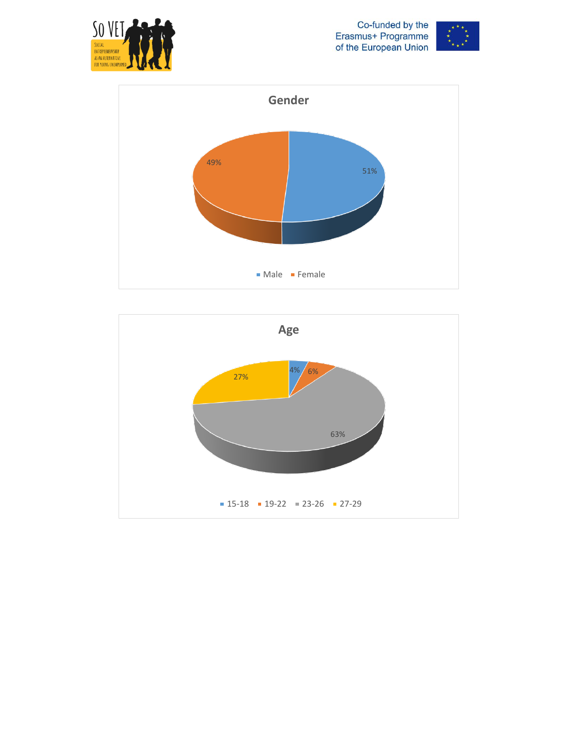





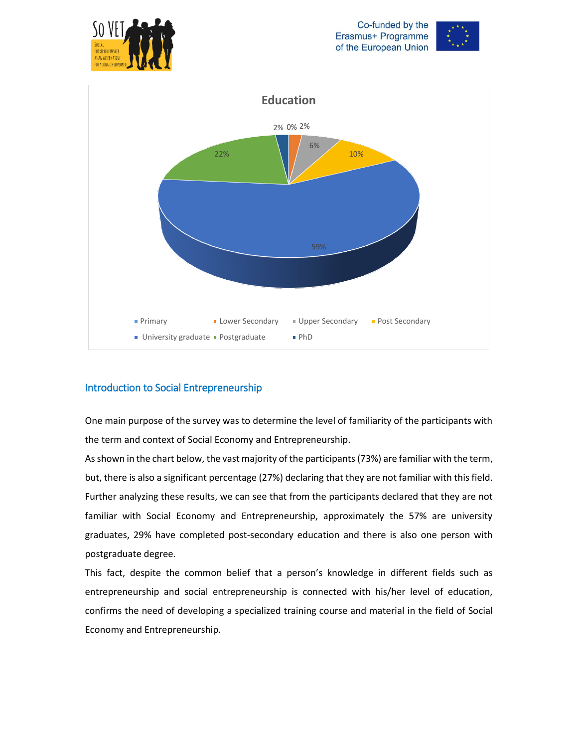





### <span id="page-18-0"></span>Introduction to Social Entrepreneurship

One main purpose of the survey was to determine the level of familiarity of the participants with the term and context of Social Economy and Entrepreneurship.

As shown in the chart below, the vast majority of the participants (73%) are familiar with the term, but, there is also a significant percentage (27%) declaring that they are not familiar with this field. Further analyzing these results, we can see that from the participants declared that they are not familiar with Social Economy and Entrepreneurship, approximately the 57% are university graduates, 29% have completed post-secondary education and there is also one person with postgraduate degree.

This fact, despite the common belief that a person's knowledge in different fields such as entrepreneurship and social entrepreneurship is connected with his/her level of education, confirms the need of developing a specialized training course and material in the field of Social Economy and Entrepreneurship.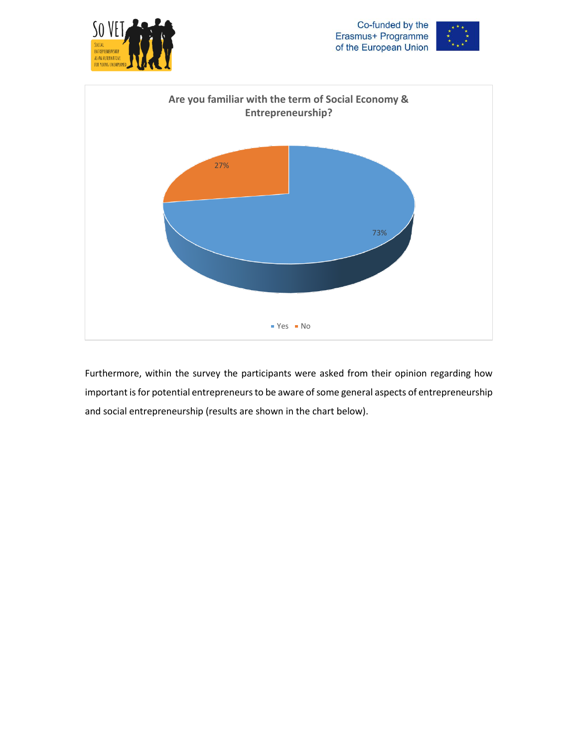





Furthermore, within the survey the participants were asked from their opinion regarding how important is for potential entrepreneurs to be aware of some general aspects of entrepreneurship and social entrepreneurship (results are shown in the chart below).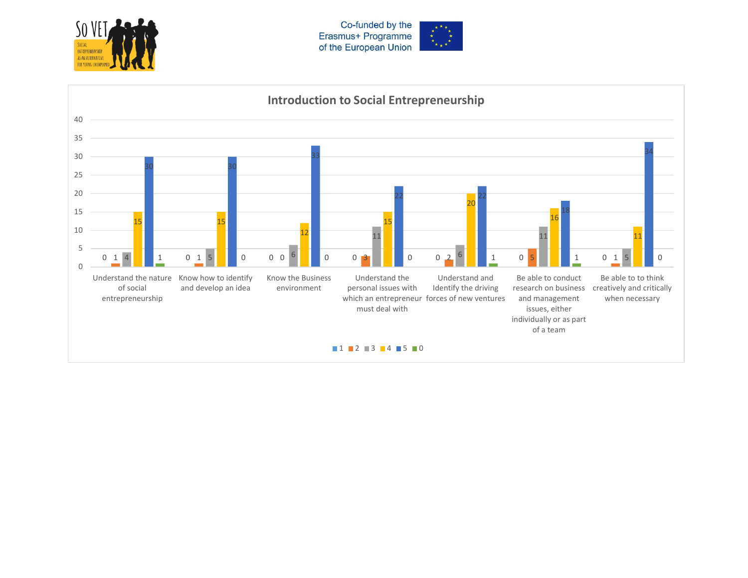



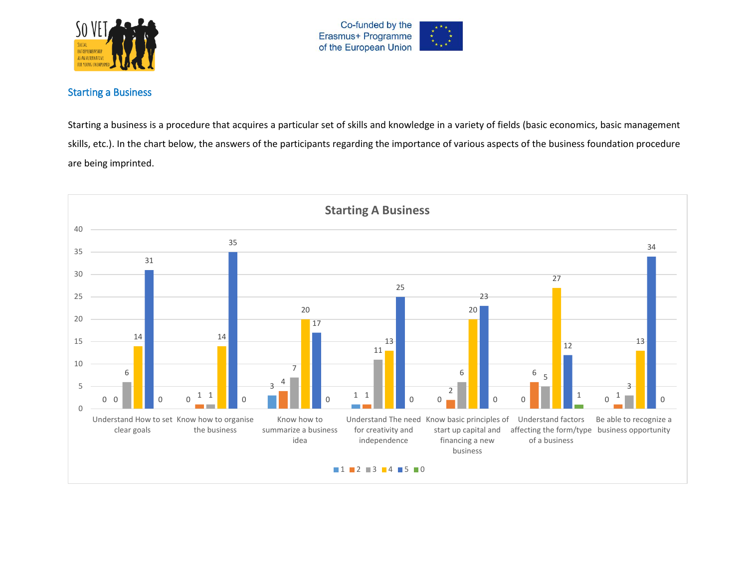



#### Starting a Business

Starting a business is a procedure that acquires a particular set of skills and knowledge in a variety of fields (basic economics, basic management skills, etc.). In the chart below, the answers of the participants regarding the importance of various aspects of the business foundation procedure are being imprinted.

<span id="page-21-0"></span>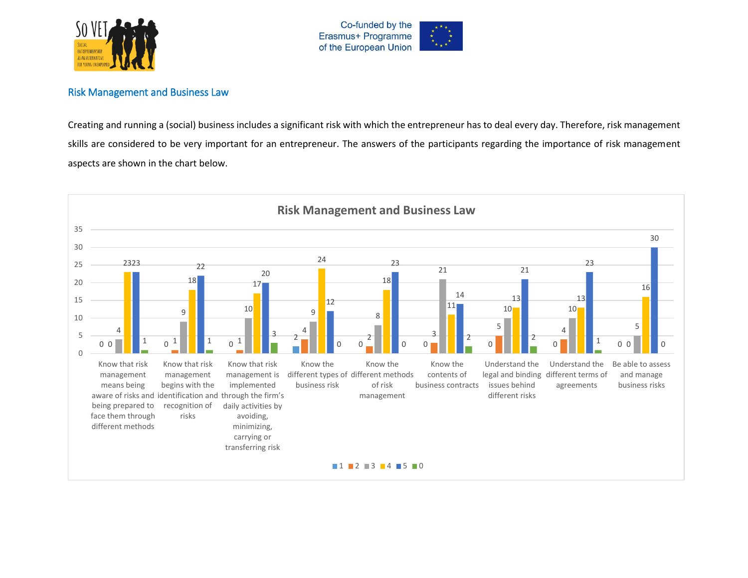



#### Risk Management and Business Law

Creating and running a (social) business includes a significant risk with which the entrepreneur has to deal every day. Therefore, risk management skills are considered to be very important for an entrepreneur. The answers of the participants regarding the importance of risk management aspects are shown in the chart below.

<span id="page-22-0"></span>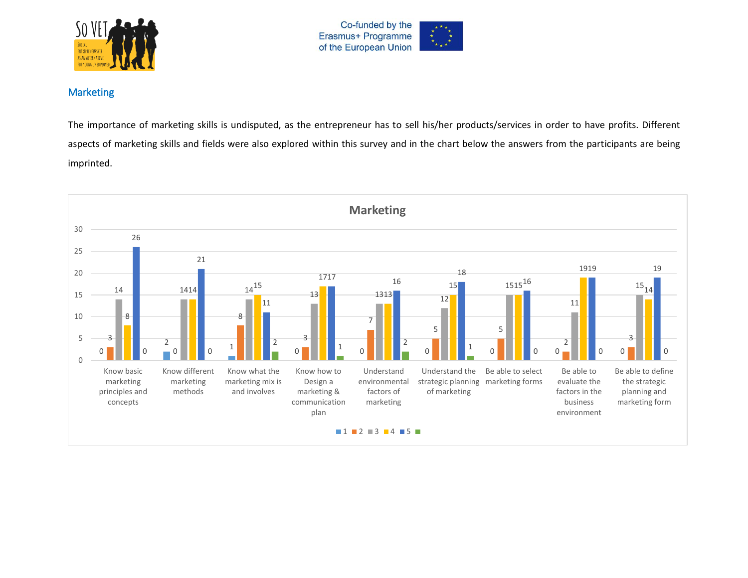



#### Marketing

The importance of marketing skills is undisputed, as the entrepreneur has to sell his/her products/services in order to have profits. Different aspects of marketing skills and fields were also explored within this survey and in the chart below the answers from the participants are being imprinted.

<span id="page-23-0"></span>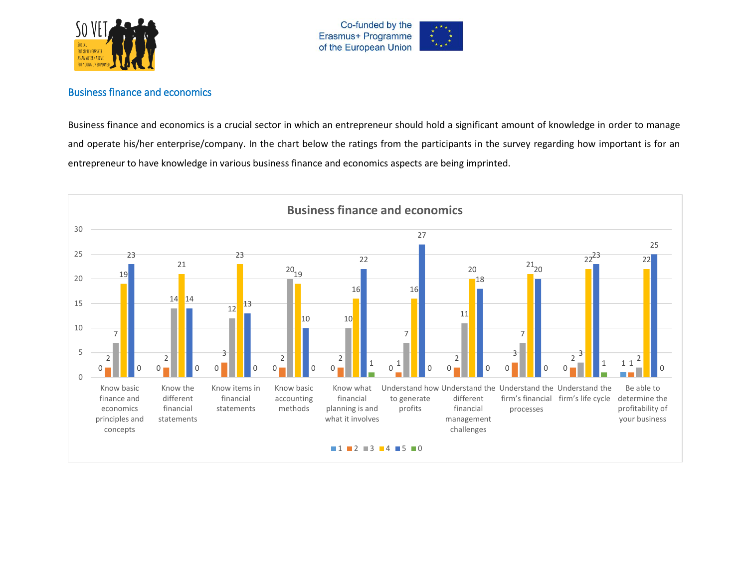



#### Business finance and economics

Business finance and economics is a crucial sector in which an entrepreneur should hold a significant amount of knowledge in order to manage and operate his/her enterprise/company. In the chart below the ratings from the participants in the survey regarding how important is for an entrepreneur to have knowledge in various business finance and economics aspects are being imprinted.

<span id="page-24-0"></span>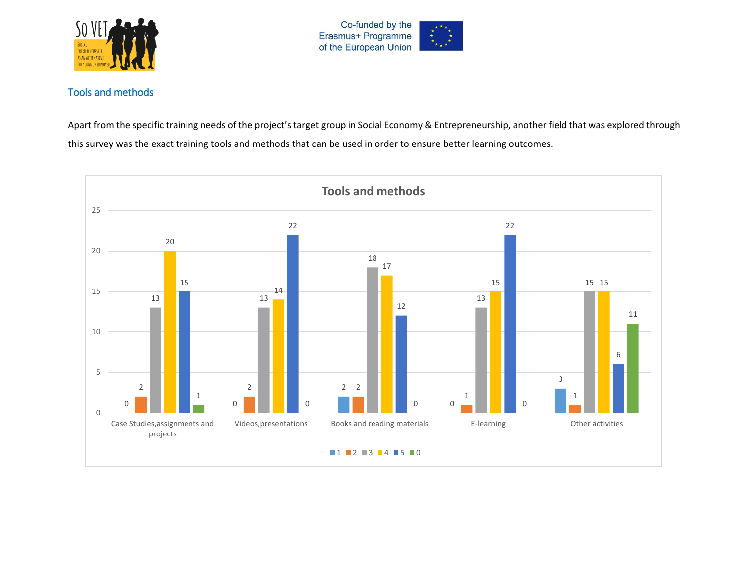



## Tools and methods

Apart from the specific training needs of the project's target group in Social Economy & Entrepreneurship, another field that was explored through this survey was the exact training tools and methods that can be used in order to ensure better learning outcomes.

<span id="page-25-0"></span>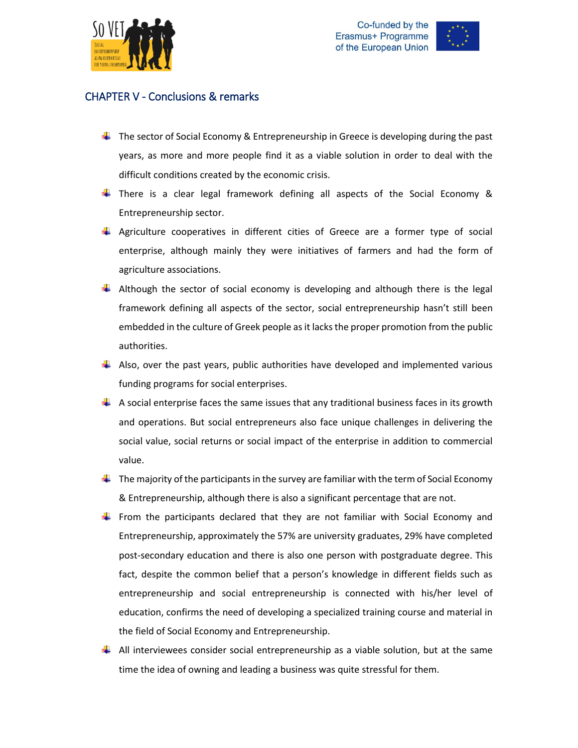



### <span id="page-26-0"></span>CHAPTER V - Conclusions & remarks

- $\downarrow$  The sector of Social Economy & Entrepreneurship in Greece is developing during the past years, as more and more people find it as a viable solution in order to deal with the difficult conditions created by the economic crisis.
- **There is a clear legal framework defining all aspects of the Social Economy &** Entrepreneurship sector.
- **Agriculture cooperatives in different cities of Greece are a former type of social** enterprise, although mainly they were initiatives of farmers and had the form of agriculture associations.
- $\ddot{\phantom{1}}$  Although the sector of social economy is developing and although there is the legal framework defining all aspects of the sector, social entrepreneurship hasn't still been embedded in the culture of Greek people as it lacks the proper promotion from the public authorities.
- $\downarrow$  Also, over the past years, public authorities have developed and implemented various funding programs for social enterprises.
- $\downarrow$  A social enterprise faces the same issues that any traditional business faces in its growth and operations. But social entrepreneurs also face unique challenges in delivering the social value, social returns or social impact of the enterprise in addition to commercial value.
- $\ddot{\phantom{1}}$  The majority of the participants in the survey are familiar with the term of Social Economy & Entrepreneurship, although there is also a significant percentage that are not.
- From the participants declared that they are not familiar with Social Economy and Entrepreneurship, approximately the 57% are university graduates, 29% have completed post-secondary education and there is also one person with postgraduate degree. This fact, despite the common belief that a person's knowledge in different fields such as entrepreneurship and social entrepreneurship is connected with his/her level of education, confirms the need of developing a specialized training course and material in the field of Social Economy and Entrepreneurship.
- $\downarrow$  All interviewees consider social entrepreneurship as a viable solution, but at the same time the idea of owning and leading a business was quite stressful for them.